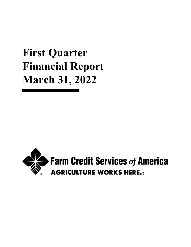# **First Quarter Financial Report March 31, 2022**

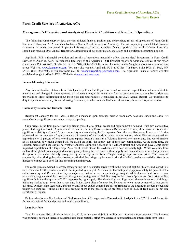# **Farm Credit Services of America, ACA**

#### **Management's Discussion and Analysis of Financial Condition and Results of Operations**

The following commentary reviews the consolidated financial position and consolidated results of operations of Farm Credit Services of America, ACA, and its subsidiaries (Farm Credit Services of America). The accompanying consolidated financial statements and notes also contain important information about our unaudited financial position and results of operations. You should also read our 2021 Annual Report for a description of our organization, operations and significant accounting policies.

AgriBank, FCB's financial condition and results of operations materially affect shareholders' investment in Farm Credit Services of America, ACA. To request a free copy of the AgriBank, FCB financial reports or additional copies of our report contact us at PO Box 2409, Omaha, NE 68103-2409, (800) 531-3905 or via electronic mail to \$sr@fcsamerica.com or view them at our Web site, <www.fcsamerica.com>. You may also contact AgriBank, FCB at 30 East 7th Street, Suite 1600, St. Paul, MN 55101, (651) 282-8800, or via electronic mail to: [financialreporting@agribank.com.](mailto:financialreporting@agribank.com) The AgriBank, financial reports are also available through AgriBank, FCB's Web site at<www.agribank.com>.

#### **Forward-Looking Information**

Any forward-looking statements in this Quarterly Financial Report are based on current expectations and are subject to uncertainty and changes in circumstances. Actual results may differ materially from expectations due to a number of risks and uncertainties. More information about these risks and uncertainties is contained in our 2021 Annual Report. We undertake no duty to update or revise any forward-looking statements, whether as a result of new information, future events, or otherwise.

#### **Commodity Review and Outlook Update**

Repayment capacity for our loans is largely dependent upon earnings derived from corn, soybeans, hogs and cattle. Of somewhat less significance are wheat, dairy and poultry.

Crop prices in the first quarter saw significant gains due to global events and high domestic demand. With two consecutive years of drought in South America and the war in Eastern Europe between Russia and Ukraine, these two events created significant volatility to United States commodity markets during the first quarter. Over the past five years, Russia and Ukraine accounted for an average of approximately 28 percent of the world's wheat export market, while Ukraine accounted for approximately 15 percent of total world corn exports. Russia's invasion of Ukraine injected new uncertainty into world markets as it's unknown how much demand will be called on to fill the supply gap of their key commodities. At the same time, the soybean market has been subject to weather concerns as ongoing drought in Southern Brazil and Argentina have significantly impacted expectations of a large crop. As a result, world stocks for soybeans have been extremely tight. While volatility from each of these global events impacted markets greatly during the first quarter, these supply and demand factors provided producers the option to set some relatively strong pricing, especially in the form of higher spring crop insurance prices. The run-up in commodity prices during the price discovery period of the spring crop insurance price should help producers partially offset large increases to input costs seen for this upcoming planting year.

Fed cattle prices remained relatively steady during the first quarter staying within the range of high \$130's/cwt. and low \$140's/ cwt. The overall cattle herd continues to be impacted by drought. At the end of the first quarter, approximately 61 percent of the cattle inventory and 49 percent of hay acreage were within an area experiencing drought. While demand and prices remain relatively strong, elevated feed costs and drought are cutting into profitability margins for cow-calf producers. Pork prices rallied significantly in the first quarter of 2022 supported by tight supply. The March Hogs and Pigs report showed inventory of all hogs, including market hogs, lower than a year ago. In fact, each class of market hog inventories were lower compared to last year at this time. Disease, high feed costs, and uncertainty about export demand are all contributing to the decline in breeding stock and tighter hog supplies. Taking all this into account, there is the possibility of profitable hogs in 2022 if feed costs do not rise significantly higher.

Refer to the Commodity Review and Outlook section of Management's Discussion & Analysis in the 2021 Annual Report for further analysis of farmland prices and industry conditions.

#### **Loan Portfolio**

Total loans were \$36.2 billion at March 31, 2022, an increase of \$476.9 million, or 1.3 percent from year-end. The increase was primarily due to an increase in agribusiness loans partially offset by a decrease in production and intermediate term loans.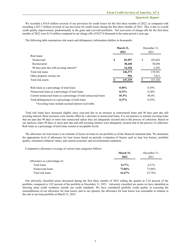We recorded a \$16.0 million reversal of our provision for credit losses for the first three months of 2022, as compared with recording a \$23.7 million reversal of our provision for credit losses during the first three months of 2021. This is due to overall credit quality improvement, predominantly in the grain and cow/calf portfolios. Net recoveries of charge-offs for the first three months of 2022 were \$1.0 million compared to net charge offs of \$327.0 thousand in the same period a year ago.

The following table summarizes risk assets and delinquency information (dollars in thousands):

|                                                                                                                                                                                                                                    | March 31,<br>2022 | December 31.<br>2021 |          |  |
|------------------------------------------------------------------------------------------------------------------------------------------------------------------------------------------------------------------------------------|-------------------|----------------------|----------|--|
| Risk loans:                                                                                                                                                                                                                        |                   |                      |          |  |
| Nonaccrual                                                                                                                                                                                                                         | \$<br>83,497      | \$                   | 102,662  |  |
| Restructured                                                                                                                                                                                                                       | 38,448            |                      | 30,696   |  |
| 90 days past due still accruing interest <sup>*</sup>                                                                                                                                                                              | 24,428            |                      | 6,203    |  |
| Total risk loans                                                                                                                                                                                                                   | 146,373           |                      | 139,561  |  |
| Other property owned, net                                                                                                                                                                                                          | 956               |                      | 7,621    |  |
| Total risk assets                                                                                                                                                                                                                  | 147,329           |                      | 147,182  |  |
| Risk loans as a percentage of total loans                                                                                                                                                                                          | $0.40\%$          |                      | $0.39\%$ |  |
| Nonaccrual loans as a percentage of total loans                                                                                                                                                                                    | $0.23\%$          |                      | 0.28%    |  |
| Current nonaccrual loans as a percentage of total nonaccrual loans                                                                                                                                                                 | 81.5%             |                      | 86.0%    |  |
| Total delinquencies as a percentage of total loans                                                                                                                                                                                 | $0.27\%$          | 0.29%                |          |  |
| $\bullet$ A result for a distribution of the distribution of the second contract of the distribution of the second second second second second second second second second second second second second second second second second |                   |                      |          |  |

\*Accruing loans include accrued interest receivable.

Total risk loans have increased slightly since year-end due to an increase in restructured loans and 90 days past due still accruing interest; these increases were mostly offset by a decrease in nonaccrual loans. It is our practice to transfer accruing loans that are past due 90 days or more into nonaccrual unless they are adequately secured and in the process of collection. Based on our analysis, loans 90 days or more past due and still accruing interest were adequately secured and in the process of collection. Risk loans as a percentage of total loans remain at acceptable levels.

The allowance for loan losses is an estimate of losses on loans in our portfolio as of the financial statement date. We determine the appropriate level of allowance for loan losses based on periodic evaluation of factors such as loan loss history, portfolio quality, estimated collateral values, and current economic and environmental conditions.

Comparative allowance coverage of various loan categories follows:

|                               | March 31, | December 31. |
|-------------------------------|-----------|--------------|
|                               | 2022      | 2021         |
| Allowance as a percentage of: |           |              |
| Total loans                   | $0.17\%$  | $0.21\%$     |
| Nonaccrual loans              | 73.06%    | 73.06%       |
| Total risk loans              | 41.67%    | 53.74%       |

Our adversely classified assets decreased during the first three months of 2022 ending the quarter at 2.24 percent of the portfolio, compared to 3.01 percent of the portfolio at December 31, 2021. Adversely classified are assets we have identified as showing some credit weakness outside our credit standards. We have considered portfolio credit quality in assessing the reasonableness of our allowance for loan losses, and in our opinion, the allowance for loan losses was reasonable in relation to the risk in our loan portfolio at March 31, 2022.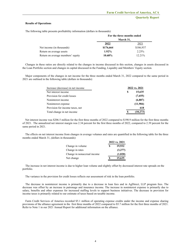#### **Results of Operations**

The following table presents profitability information (dollars in thousands):

|                                   |           | For the three months ended |  |  |  |
|-----------------------------------|-----------|----------------------------|--|--|--|
|                                   |           | March 31,                  |  |  |  |
|                                   | 2022      | 2021                       |  |  |  |
| Net income (in thousands)         | \$176,664 | \$186,937                  |  |  |  |
| Return on average assets          | $1.92\%$  | 2.25%                      |  |  |  |
| Return on average members' equity | 10.68%    | 12.21%                     |  |  |  |

Changes in these ratios are directly related to the changes in income discussed in this section, changes in assets discussed in the Loan Portfolio section and changes in capital discussed in the Funding, Liquidity and Members' Equity section.

Major components of the changes in net income for the three months ended March 31, 2022 compared to the same period in 2021 are outlined in the following table (dollars in thousands):

| Increase (decrease) in net income | 2022 vs. 2021 |           |
|-----------------------------------|---------------|-----------|
| Net interest income               | S             | 15,635    |
| Provision for credit losses       |               | (7,655)   |
| Noninterest income                |               | (6,887)   |
| Noninterest expense               |               | (11,984)  |
| Provision for income taxes, net   |               | 618       |
| Total change in net income        |               | (10, 273) |

Net interest income was \$206.5 million for the first three months of 2022 compared to \$190.9 million for the first three months of 2021. The annualized net interest margin was 2.34 percent for the first three months of 2022, compared to 2.39 percent for the same period in 2021.

The effects on net interest income from changes in average volumes and rates are quantified in the following table for the three months ended March 31, (dollars in thousands):

|                             | 2022 vs. 2021 |  |  |  |
|-----------------------------|---------------|--|--|--|
| Change in volume            | \$<br>19,932  |  |  |  |
| Change in rates             | (3,277)       |  |  |  |
| Change in nonaccrual income | (1,020)       |  |  |  |
| Net change                  | \$<br>15,635  |  |  |  |

The increase in net interest income is due to higher loan volume and slightly offset by decreased interest rate spreads on the portfolio.

The variance in the provision for credit losses reflects our assessment of risk in the loan portfolio.

The decrease in noninterest income is primarily due to a decrease in loan fees and in AgDirect, LLP program fees. The decrease was offset by an increase in patronage and insurance income. The increase in noninterest expense is primarily due to salary, benefits and other expenses for increased staffing levels to support business initiatives. The decrease in provision for income taxes is primarily related to our estimate of taxes based on taxable income.

Farm Credit Services of America recorded \$5.1 million of operating expense credits under the income and expense sharing provisions of the alliance agreement in the first three months of 2022 compared to \$5.7 million for the first three months of 2021. Refer to Note 1 in our 2021 Annual Report for additional information on the alliance.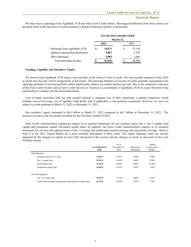|                                   |           | For the three months ended |   |        |  |  |  |  |
|-----------------------------------|-----------|----------------------------|---|--------|--|--|--|--|
|                                   | March 31, |                            |   |        |  |  |  |  |
|                                   |           | 2022                       |   | 2021   |  |  |  |  |
| Patronage from AgriBank, FCB      |           | 34,071                     | S | 35,158 |  |  |  |  |
| AgDirect partnership distribution |           | 3,867                      |   | 2,702  |  |  |  |  |
| Other patronage                   |           | 5,003                      |   | 1,006  |  |  |  |  |
| Total patronage income            |           | 42.941                     |   | 38,866 |  |  |  |  |

We may receive patronage from AgriBank, FCB and other Farm Credit entities. Patronage distributions from those entities are declared solely at the discretion of each institution's Board of Directors (dollars in thousands).

#### **Funding, Liquidity and Members' Equity**

We borrow from AgriBank, FCB under a note payable, in the form of a line of credit. Our note payable matures in June 2024 at which time the note will be renegotiated, if not sooner. The repricing attributes of our line of credit generally correspond to the repricing attributes of our loan portfolio which significantly reduces our market interest rate risk. Due to the cooperative structure of the Farm Credit System and as Farm Credit Services of America is a stockholder of AgriBank, FCB we expect this borrowing relationship to continue into the foreseeable future.

Cost of funds associated with our note payable includes a marginal cost of debt component, a spread component, which includes cost of servicing, cost of liquidity, bank profit, and, if applicable, a risk premium component. However, we were not subject to a risk premium at March 31, 2022 or December 31, 2021.

Our members' equity increased to \$6.8 billion at March 31, 2022 compared to \$6.7 billion at December 31, 2021. The increase was due to the net income recorded for the first three months of 2022.

Farm Credit Administration regulations require us to maintain minimums for our common equity tier 1, tier 1 capital, total capital and permanent capital risk-based capital ratios. In addition, the Farm Credit Administration requires us to maintain minimums for our non-risk-adjusted ratios of tier 1 leverage and unallocated retained earnings and equivalents leverage. Refer to Note 8 in our 2021 Annual Report for a more complete description of these ratios. The capital adequacy ratios are directly impacted by the changes in capital as more fully discussed in this section and the changes in assets as discussed in the Loan Portfolio section.

|                                                              | As of           |              | Capital         |                |
|--------------------------------------------------------------|-----------------|--------------|-----------------|----------------|
|                                                              | As of March 31. | December 31. | Regulatory      | Conservation   |
|                                                              | 2022            |              | <b>Minimums</b> | <b>Buffers</b> |
| Risk-adjusted:                                               |                 |              |                 |                |
| Common equity tier 1 ratio                                   | 15.01%          | 15.82%       | 4.50%           | 7.00%          |
| Tier 1 capital ratio                                         | 15.01%          | 15.82%       | $6.00\%$        | 8.50%          |
| Total capital ratio                                          | 15.24%          | 16.06%       | 8.00%           | 10.50%         |
| Permanent capital ratio                                      | 15.04%          | 15.85%       | 7.00%           | 7.00%          |
| Non-risk-adjusted:                                           |                 |              |                 |                |
| Tier 1 leverage ratio                                        | 16.19%          | 17.14%       | $4.00\%$        | 5.00%          |
| Unallocated retained earnings and equivalents leverage ratio | 16.19%          | 18.20%       | 1.50%           | 1.50%          |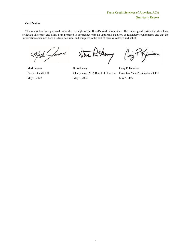# **Certification**

This report has been prepared under the oversight of the Board's Audit Committee. The undersigned certify that they have reviewed this report and it has been prepared in accordance with all applicable statutory or regulatory requirements and that the information contained herein is true, accurate, and complete to the best of their knowledge and belief.

Mark General

Derny

Mark Jensen Steve Henry Craig P. Kinnison President and CEO Chairperson, ACA Board of Directors Executive Vice-President and CFO May 4, 2022 May 4, 2022 May 4, 2022

imism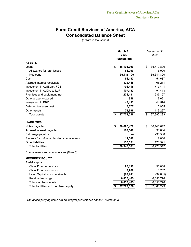# **Farm Credit Services of America, ACA Consolidated Balance Sheet**

(dollars in thousands)

|                                          | March 31,<br>2022 | December 31,<br>2021 |
|------------------------------------------|-------------------|----------------------|
|                                          | (unaudited)       |                      |
| <b>ASSETS</b>                            |                   |                      |
| \$<br>Loans                              | 36,196,790        | \$<br>35,719,890     |
| Allowance for loan losses                | 61,000            | 75,000               |
| Net loans                                | 36,135,790        | 35,644,890           |
| Cash                                     | 51,157            | 51,687               |
| Accrued interest receivable              | 329,445           | 405,271              |
| Investment in AgriBank, FCB              | 794,415           | 777,441              |
| Investment in AgDirect, LLP              | 107,157           | 94,418               |
| Premises and equipment, net              | 234,481           | 237,127              |
| Other property owned                     | 956               | 7,621                |
| Investment in RBIC                       | 45,152            | 41,576               |
| Deferred tax asset, net                  | 6,677             | 6,965                |
| Other assets                             | 73,796            | 113,297              |
| <b>Total assets</b><br>S                 | 37,779,026        | \$<br>37,380,293     |
| <b>LIABILITIES</b>                       |                   |                      |
| \$<br>Notes payable                      | 30,696,470        | \$<br>30,140,612     |
| Accrued interest payable                 | 103,540           | 98,884               |
| Patronage payable                        |                   | 296,500              |
| Reserve for unfunded lending commitments | 11,000            | 12,000               |
| <b>Other liabilities</b>                 | 137,551           | 178,521              |
| <b>Total liabilities</b>                 | 30,948,561        | 30,726,517           |
| Commitments and contingencies (Note 5)   |                   |                      |
| <b>MEMBERS' EQUITY</b>                   |                   |                      |
| At-risk capital:                         |                   |                      |
| Class D common stock                     | 96,132            | 96,068               |
| Class E common stock                     | 3,769             | 3,767                |
| Less: Capital stock receivable           | (99, 901)         | (99, 835)            |
| Retained earnings                        | 6,830,465         | 6,653,776            |
| Total members' equity                    | 6,830,465         | 6,653,776            |
| Total liabilities and members' equity    | 37,779,026        | 37,380,293           |

*The accompanying notes are an integral part of these financial statements.*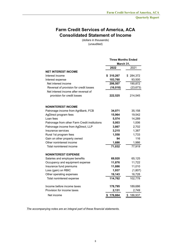# **Farm Credit Services of America, ACA Consolidated Statement of Income**

(dollars in thousands) (unaudited)

|                                               | <b>Three Months Ended</b> |               |  |  |
|-----------------------------------------------|---------------------------|---------------|--|--|
|                                               | March 31,                 |               |  |  |
|                                               | 2022                      | 2021          |  |  |
| <b>NET INTEREST INCOME</b>                    |                           |               |  |  |
| Interest income                               | \$310,267                 | 284,372<br>S  |  |  |
| Interest expense                              | 103,760                   | 93,500        |  |  |
| Net interest income                           | 206,507                   | 190,872       |  |  |
| Reversal of provision for credit losses       | (16, 018)                 | (23, 673)     |  |  |
| Net interest income after reversal of         |                           |               |  |  |
| provision for credit losses                   | 222,525                   | 214,545       |  |  |
| <b>NONINTEREST INCOME</b>                     |                           |               |  |  |
| Patronage income from AgriBank, FCB           | 34,071                    | 35,158        |  |  |
| AgDirect program fees                         | 15,964                    | 19,542        |  |  |
| Loan fees                                     | 5,574                     | 14,289        |  |  |
| Patronage from other Farm Credit institutions | 5,003                     | 1,006         |  |  |
| Patronage income from AgDirect, LLP           | 3,867                     | 2,702         |  |  |
| Insurance services                            | 3,215                     | 1,387         |  |  |
| Rural 1st program fees                        | 1,558                     | 1,733         |  |  |
| Gain on other property owned                  | 94                        | 116           |  |  |
| Other noninterest income                      | 1,686                     | 1,986         |  |  |
| Total noninterest income                      | 71,032                    | 77,919        |  |  |
| <b>NONINTEREST EXPENSE</b>                    |                           |               |  |  |
| Salaries and employee benefits                | 69,920                    | 65,125        |  |  |
| Occupancy and equipment expense               | 11,876                    | 11,722        |  |  |
| Insurance fund premiums                       | 11,886                    | 11,010        |  |  |
| Loss (gain) on RBIC                           | 1,937                     | (1,807)       |  |  |
| Other operating expenses                      | 19,143                    | 16,728        |  |  |
| Total noninterest expense                     | 114,762                   | 102,778       |  |  |
| Income before income taxes                    | 178,795                   | 189,686       |  |  |
| Provision for income taxes                    | 2,131                     | 2,749         |  |  |
| Net income                                    | 176,664<br>\$             | 186,937<br>\$ |  |  |

*The accompanying notes are an integral part of these financial statements.*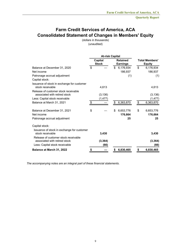# **Farm Credit Services of America, ACA Consolidated Statement of Changes in Members' Equity**

(dollars in thousands) (unaudited)

|                                                                       | <b>At-risk Capital</b>  |          |    |                                    |                                        |           |  |
|-----------------------------------------------------------------------|-------------------------|----------|----|------------------------------------|----------------------------------------|-----------|--|
|                                                                       | Capital<br><b>Stock</b> |          |    | <b>Retained</b><br><b>Earnings</b> | <b>Total Members'</b><br><b>Equity</b> |           |  |
| Balance at December 31, 2020                                          | \$                      |          | \$ | 6,176,934                          | \$                                     | 6,176,934 |  |
| Net income                                                            |                         |          |    | 186,937                            |                                        | 186,937   |  |
| Patronage accrual adjustment                                          |                         |          |    | (1)                                |                                        | (1)       |  |
| Capital stock:                                                        |                         |          |    |                                    |                                        |           |  |
| Issuance of stock in exchange for customer<br>stock receivable        |                         | 4,613    |    |                                    |                                        | 4,613     |  |
| Release of customer stock receivable<br>associated with retired stock |                         | (3, 136) |    |                                    |                                        | (3, 136)  |  |
| Less: Capital stock receivable                                        |                         | (1, 477) |    |                                    |                                        | (1, 477)  |  |
| Balance at March 31, 2021                                             | \$                      |          | \$ | 6,363,870                          | \$                                     | 6,363,870 |  |
| Balance at December 31, 2021                                          | \$                      |          | \$ | 6,653,776                          | \$                                     | 6,653,776 |  |
| Net income                                                            |                         |          |    | 176,664                            |                                        | 176,664   |  |
| Patronage accrual adjustment                                          |                         |          |    | 25                                 |                                        | 25        |  |
| Capital stock:                                                        |                         |          |    |                                    |                                        |           |  |
| Issuance of stock in exchange for customer<br>stock receivable        |                         | 3,430    |    |                                    |                                        | 3,430     |  |
| Release of customer stock receivable<br>associated with retired stock |                         | (3, 364) |    |                                    |                                        | (3, 364)  |  |
| Less: Capital stock receivable                                        |                         | (66)     |    |                                    |                                        | (66)      |  |
| <b>Balance at March 31, 2022</b>                                      | \$                      |          | \$ | 6,830,465                          | \$                                     | 6,830,465 |  |

*The accompanying notes are an integral part of these financial statements.*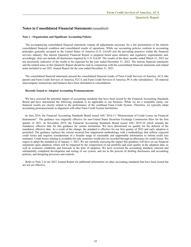# **Notes to Consolidated Financial Statements**(unaudited)

#### **Note 1 - Organization and Significant Accounting Policies**

The accompanying consolidated financial statements contain all adjustments necessary for a fair presentation of the interim consolidated financial condition and consolidated results of operations. While our accounting policies conform to accounting principles generally accepted in the United States of America (U.S. GAAP) and the prevailing practices within the financial services industry, this interim Quarterly Financial Report is prepared based upon statutory and regulatory requirements and, accordingly, does not include all disclosures required by U.S. GAAP. The results of the three months ended March 31, 2022 are not necessarily indicative of the results to be expected for the year ended December 31, 2022. The interim financial statements and the related notes in this Quarterly Report should be read in conjunction with the consolidated financial statements and related notes included in our 2021 Annual Report for the year ended December 31, 2021.

The consolidated financial statements present the consolidated financial results of Farm Credit Services of America, ACA (the parent) and Farm Credit Services of America, FLCA and Farm Credit Services of America, PCA (the subsidiaries). All material intercompany transactions and balances have been eliminated in consolidation.

#### **Recently Issued or Adopted Accounting Pronouncements**

We have assessed the potential impact of accounting standards that have been issued by the Financial Accounting Standards Board and have determined the following standards to be applicable to our business. While we are a nonpublic entity, our financial results are closely related to the performance of the combined Farm Credit System. Therefore, we typically adopt accounting pronouncements in alignment with other Farm Credit System Institutions.

In June 2016, the Financial Accounting Standards Board issued ASU 2016-13 "Measurement of Credit Losses on Financial Instruments". The guidance was originally effective for non-United States Securities Exchange Commission filers for the first quarter of 2021. In November 2019, the Financial Accounting Standards Board issued ASU 2019-10 which amends the mandatory effective date for this guidance for certain institutions. We have determined we qualify for the deferral of the mandatory effective date. As a result of the change, the standard is effective for our first quarter of 2023 and early adoption is permitted. The guidance replaces the current incurred loss impairment methodology with a methodology that reflects expected credit losses and requires consideration of a broader range of reasonable and supportable information to inform credit loss estimates. Credit losses relating to available-for-sale securities would also be recorded through an allowance for credit losses. We expect to adopt the standard as of January 1, 2023. We are currently assessing the impact this guidance will have on our financial statements upon adoption, which will be impacted by the composition of our portfolio and asset quality at the adoption date, as well as economic conditions and forecasts at the time of adoption. We have reviewed the accounting standard, selected and substantially completed development and testing of our system, and are in the process of drafting disclosures and accounting policies, and designing processes and controls.

Refer to Note 2 in our 2021 Annual Report for additional information on other accounting standards that have been issued but are not yet effective.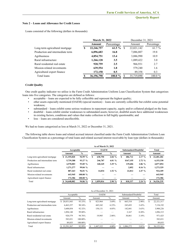#### **Note 2 – Loans and Allowance for Credit Losses**

Loans consisted of the following (dollars in thousands):

| <b>March 31, 2022</b> |            |            |   |            |                   |  |
|-----------------------|------------|------------|---|------------|-------------------|--|
|                       | Amount     | Percentage |   | Amount     | Percentage        |  |
| S                     | 22,246,757 | 61.5 $%$   | S | 22,021,142 | 61.7 %            |  |
|                       | 6,096,683  | 16.8       |   | 7,086,807  | 19.8              |  |
|                       | 4,854,751  | 13.4       |   | 3,886,990  | 10.9              |  |
|                       | 1,266,128  | 3.5        |   | 1,089,422  | 3.0               |  |
|                       | 920,759    | 2.5        |   | 966,931    | 2.7               |  |
|                       | 639,554    | 1.8        |   | 579.240    | 1.6               |  |
|                       | 172.158    | 0.5        |   | 89,358     | 0.3               |  |
|                       | 36,196,790 | $100.0 \%$ |   | 35,719,890 | $100.0 \%$        |  |
|                       |            |            |   |            | December 31, 2021 |  |

#### **Credit Quality**

One credit quality indicator we utilize is the Farm Credit Administration Uniform Loan Classification System that categorizes loans into five categories. The categories are defined as follows:

- acceptable loans are expected to be fully collectible and represent the highest quality;
- other assets especially mentioned (OAEM) (special mention) loans are currently collectible but exhibit some potential weakness;
- substandard loans exhibit some serious weakness in repayment capacity, equity and/or collateral pledged on the loan;
- doubtful loans exhibit similar weaknesses to substandard assets; however, doubtful assets have additional weaknesses in existing factors, conditions and values that make collection in full highly questionable; and
- loss loans are considered uncollectible.

We had no loans categorized as loss at March 31, 2022 or December 31, 2021.

The following table shows loans and related accrued interest classified under the Farm Credit Administration Uniform Loan Classification System as a percentage of total loans and related accrued interest receivable by loan type (dollars in thousands):

|                                  |                   |               |             | As of March 31, 2022 |               |   |                      |          |   |            |
|----------------------------------|-------------------|---------------|-------------|----------------------|---------------|---|----------------------|----------|---|------------|
|                                  | Acceptable        |               | <b>OAEM</b> |                      |               |   | Substandard/Doubtful |          |   | Total      |
|                                  | Amount            | $\frac{0}{0}$ |             | Amount               | $\frac{6}{9}$ |   | Amount               | $\%$     |   | Amount     |
| Long-term agricultural mortgage  | \$21,355,820      | 94.99 %       | s           | 638,750              | 2.84%         | S | 486,712              | 2.17%    | S | 22,481,282 |
| Production and intermediate term | 5,739,388         | 93.27%        |             | 246,787              | 4.01 $%$      |   | \$167,155            | 2.72%    |   | 6,153,330  |
| Agribusiness                     | 4,578,003         | 93.85 %       |             | 160,245              | 3.29%         |   | 139,606              | 2.86%    |   | 4,877,854  |
| Rural infrastructure             | 1,271,277         | 99.84 %       |             |                      |               |   | 2,052                | $0.16\%$ |   | 1,273,329  |
| Rural residential real estate    | 887,263           | 96.01%        |             | 14.034               | 1.52%         |   | 22,812               | 2.47%    |   | 924,109    |
| Mission-related investments      | 643.945           | 100.00 %      |             |                      |               |   |                      |          |   | 643,945    |
| Agricultural export finance      | 172,386           | 100.00 %      |             |                      |               |   |                      |          |   | 172,386    |
| Total                            | 34,648,082<br>\$. | 94.86 %       | S           | 1.059.816            | 2.90%         |   | 818,337              | 2.24%    | S | 36,526,235 |

|                                  |              |         |   | As of December 31, 2021 |       |   |                      |       |       |            |
|----------------------------------|--------------|---------|---|-------------------------|-------|---|----------------------|-------|-------|------------|
|                                  | Acceptable   |         |   | <b>OAEM</b>             |       |   | Substandard/Doubtful |       | Total |            |
|                                  | Amount       | $\%$    |   | Amount                  | $\%$  |   | Amount               | $\%$  |       | Amount     |
| Long-term agricultural mortgage  | \$20,831,843 | 93.33%  | S | 823,964                 | 3.69% | S | 665,510              | 2.98% | \$    | 22,321,317 |
| Production and intermediate term | 6,463,257    | 90.34%  |   | 445,242                 | 6.23% |   | 245.693              | 3.43% |       | 7,154,192  |
| Agribusiness                     | 3,608,054    | 92.32%  |   | 158,131                 | 4.05% |   | 142.041              | 3.63% |       | 3,908,226  |
| Rural infrastructure             | 1.094.148    | 99.80%  |   |                         |       |   | 2,167                | 0.20% |       | 1,096,315  |
| Rural residential real estate    | 920.579      | 94.76%  |   | 19.985                  | 2.06% |   | 30.861               | 3.18% |       | 971.425    |
| Mission-related investments      | 583,831      | 100.00% |   |                         |       |   |                      |       |       | 583,831    |
| Agricultural export finance      | 89,855       | 100.00% |   |                         |       |   |                      |       |       | 89,855     |
| Total                            | \$33,591,567 | 92.99%  |   | 1,447,322               | 4.00% |   | 1,086,272            | 3.01% |       | 36,125,161 |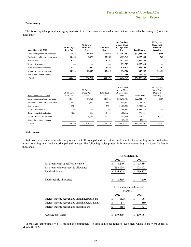#### **Delinquency**

The following table provides an aging analysis of past due loans and related accrued interest receivable by loan type (dollars in thousands):

| As of March 31, 2022             | 30-89 Days<br><b>Past Due</b> | 90 Days or<br><b>More Past</b><br>Due | <b>Total Past</b><br>Due | <b>Not Past Due</b><br>or Less Than<br><b>30 Days Past</b><br>Due | <b>Total Loans</b> | 90 Days or<br><b>More Past</b><br>Due and<br>Accruing |
|----------------------------------|-------------------------------|---------------------------------------|--------------------------|-------------------------------------------------------------------|--------------------|-------------------------------------------------------|
| Long-term agricultural mortgage  | \$11,576                      | \$8,349                               | \$19,925                 | \$22,461,357                                                      | \$22,481,282       | \$169                                                 |
| Production and intermediate term | 20,550                        | 3,439                                 | 23,989                   | 6,129,341                                                         | 6,153,330          | 562                                                   |
| Agribusiness                     | 4,251                         |                                       | 4,251                    | 4,873,603                                                         | 4,877,854          |                                                       |
| Rural infrastructure             |                               |                                       |                          | 1,273,329                                                         | 1,273,329          |                                                       |
| Rural residential real estate    | 2,431                         | 1,157                                 | 3,588                    | 920,521                                                           | 924,109            | 282                                                   |
| Mission-related investments      | 24,204                        | 23,415                                | 47,619                   | 596,326                                                           | 643,945            | 23,415                                                |
| Agricultural export finance      |                               |                                       |                          | 172,386                                                           | 172,386            |                                                       |
| Total                            | \$63,012                      | \$36,360                              | \$99,372                 | \$36,426,863                                                      | \$36,526,235       | \$24,428                                              |
| As of December 31, 2021          | 30-89 Days<br>Past Due        | 90 Days or<br>More Past<br>Due        | <b>Total Past</b><br>Due | Not Past Due<br>or Less Than<br>30 Days Past<br>Due               | Total Loans        | 90 Days or<br>More Past<br>Due and<br>Accruing        |
| Long-term agricultural mortgage  | \$21,441                      | \$7,425                               | \$28,866                 | \$22,292,451                                                      | \$22,321,317       | \$159                                                 |
| Production and intermediate term | 15,385                        | 5,260                                 | 20,645                   | 7,133,547                                                         | 7,154,192          |                                                       |
| Agribusiness                     | 2,984                         |                                       | 2,984                    | 3,905,242                                                         | 3,908,226          |                                                       |
| Rural infrastructure             |                               |                                       |                          | 1,096,315                                                         | 1,096,315          |                                                       |
| Rural residential real estate    | 3,553                         | 890                                   | 4,443                    | 966,982                                                           | 971,425            |                                                       |
| Mission-related investments      | 42,533                        | 6,045                                 | 48,578                   | 535,253                                                           | 583,831            | 6,044                                                 |
| Agricultural export finance      |                               |                                       |                          | 89,855                                                            | 89,855             |                                                       |
| Total                            | \$85,896                      | \$19,620                              | \$105,516                | \$36,019,645                                                      | \$36,125,161       | \$6,203                                               |

## **Risk Loans**

Risk loans are loans for which it is probable that all principal and interest will not be collected according to the contractual terms. Accruing loans include principal and interest. The following tables present information concerning risk loans (dollars in thousands):

|                                                  | As of March 31.                         |              |  |
|--------------------------------------------------|-----------------------------------------|--------------|--|
|                                                  | 2022                                    | 2021         |  |
| Risk loans with specific allowance               | 8,249<br>S                              | S<br>15,684  |  |
| Risk loans without specific allowance            | 138,124                                 | 173,893      |  |
| Total risk loans                                 | \$146,373                               | \$189,577    |  |
| Total specific allowance                         | 2,565                                   | 7,260        |  |
|                                                  | For the three months ended<br>March 31, |              |  |
|                                                  | 2022                                    | 2021         |  |
| Interest income recognized on nonaccrual loans   | S<br>(132)                              | \$<br>888    |  |
| Interest income recognized on risk accrual loans | 67<br>\$                                | 689          |  |
| Interest income recognized on risk loans         | (65)                                    | 1,577        |  |
| Average risk loans                               | 170,695<br>S                            | 230,181<br>S |  |

There were approximately \$1.8 million in commitments to lend additional funds to customers whose loans were at risk at March 31, 2022.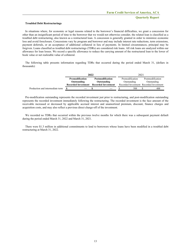#### **Troubled Debt Restructurings**

In situations where, for economic or legal reasons related to the borrower's financial difficulties, we grant a concession for other than an insignificant period of time to the borrower that we would not otherwise consider, the related loan is classified as a troubled debt restructuring, also known as a restructured loan. A concession is generally granted in order to minimize economic loss and avoid foreclosure. Concessions vary by program and borrower and may include interest rate reductions, term extensions, payment deferrals, or an acceptance of additional collateral in lieu of payments. In limited circumstances, principal may be forgiven. Loans classified as troubled debt restructurings (TDRs) are considered risk loans. All risk loans are analyzed within our allowance for loan losses. We record a specific allowance to reduce the carrying amount of the restructured loan to the lower of book value or net realizable value of collateral.

The following table presents information regarding TDRs that occurred during the period ended March 31, (dollars in thousands):

|                                  |                                     | 2022                       | 2021            |                                         |  |  |
|----------------------------------|-------------------------------------|----------------------------|-----------------|-----------------------------------------|--|--|
|                                  | Premodification<br>Postmodification |                            | Premodification | Postmodification                        |  |  |
|                                  | Outstanding<br>Outstanding          |                            | Outstanding     | Outstanding                             |  |  |
|                                  | Recorded Investment                 | <b>Recorded Investment</b> |                 | Recorded Investment Recorded Investment |  |  |
| Production and intermediate term |                                     |                            | 588             | 488                                     |  |  |

Pre-modification outstanding represents the recorded investment just prior to restructuring, and post-modification outstanding represents the recorded investment immediately following the restructuring. The recorded investment is the face amount of the receivable increased or decreased by applicable accrued interest and unamortized premium, discount, finance charges and acquisition costs, and may also reflect a previous direct charge-off of the investment.

We recorded no TDRs that occurred within the previous twelve months for which there was a subsequent payment default during the period ended March 31, 2022 and March 31, 2021.

There were \$1.3 million in additional commitments to lend to borrowers whose loans have been modified in a troubled debt restructuring at March 31, 2022.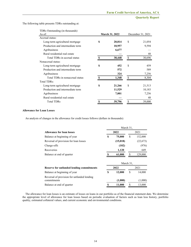The following table presents TDRs outstanding at:

| TDRs Outstanding (in thousands)  |     |                       |                   |        |  |
|----------------------------------|-----|-----------------------|-------------------|--------|--|
| As of:                           |     | <b>March 31, 2022</b> | December 31, 2021 |        |  |
| Accrual status:                  |     |                       |                   |        |  |
| Long-term agricultural mortgage  | \$  | 20,814                | \$                | 21,054 |  |
| Production and intermediate term |     | 10,957                |                   | 9,594  |  |
| Agribusiness                     |     | 6,677                 |                   |        |  |
| Rural residential real estate    |     |                       |                   | 48     |  |
| Total TDRs in accrual status     | \$. | 38,448                | \$                | 30,696 |  |
| Nonaccrual status:               |     |                       |                   |        |  |
| Long-term agricultural mortgage  | \$  | 452                   | \$                | 459    |  |
| Production and intermediate term |     | 572                   |                   | 589    |  |
| Agribusiness                     |     | 324                   |                   | 7,256  |  |
| Total TDRs in nonaccrual status  | S   | 1,348                 | \$                | 8,304  |  |
| Total TDRs:                      |     |                       |                   |        |  |
| Long-term agricultural mortgage  | \$  | 21,266                | \$                | 21,513 |  |
| Production and intermediate term |     | 11,529                |                   | 10,183 |  |
| Agribusiness                     |     | 7,001                 |                   | 7,256  |  |
| Rural residential real estate    |     |                       |                   | 48     |  |
| <b>Total TDRs</b>                | S   | 39,796                | \$                | 39,000 |  |

#### **Allowance for Loan Losses**

An analysis of changes in the allowance for credit losses follows (dollars in thousands):

|                                                           | March 31. |          |      |           |  |
|-----------------------------------------------------------|-----------|----------|------|-----------|--|
| <b>Allowance for loan losses</b>                          | 2022      |          | 2021 |           |  |
| Balance at beginning of year                              | S         | 75,000   | \$   | 152,000   |  |
| Reversal of provision for loan losses                     |           | (15,018) |      | (22, 673) |  |
| Charge-offs                                               |           | (102)    |      | (976)     |  |
| Recoveries                                                |           | 1,120    |      | 649       |  |
| Balance at end of quarter                                 |           | 61,000   | S    | 129,000   |  |
|                                                           | March 31. |          |      |           |  |
| Reserve for unfunded lending commitments                  |           | 2022     |      | 2021      |  |
| Balance at beginning of year                              | S         | 12,000   | \$   | 14,000    |  |
| Reversal of provision for unfunded lending<br>commitments |           | (1,000)  |      | (1,000)   |  |
| Balance at end of quarter                                 |           | 11,000   | \$   | 13,000    |  |

The allowance for loan losses is an estimate of losses on loans in our portfolio as of the financial statement date. We determine the appropriate level of allowance for loan losses based on periodic evaluation of factors such as loan loss history, portfolio quality, estimated collateral values, and current economic and environmental conditions.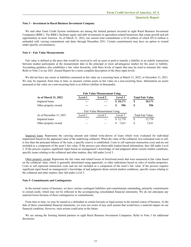#### **Note 3 – Investment in Rural Business Investment Company**

We and other Farm Credit System institutions are among the limited partners invested in eight Rural Business Investment Companies (RBIC). The RBICs facilitate equity and debt investments in agriculture-related businesses that create growth and job opportunities in rural America. As of March 31, 2022, our current total commitment is \$110 million of which \$53.6 million is unfunded with varying commitment end dates through December 2031. Certain commitments may have an option to extend under specific circumstances.

#### **Note 4 – Fair Value Measurements**

Fair value is defined as the price that would be received to sell an asset or paid to transfer a liability in an orderly transaction between market participants at the measurement date in the principal or most advantageous market for the asset or liability. Accounting guidance also establishes a fair value hierarchy, with three levels of inputs that may be used to measure fair value. Refer to Note 2 in our 2021 Annual Report for a more complete description of the three input levels.

We did not have any assets or liabilities measured at fair value on a recurring basis at March 31, 2022, or December 31, 2021. We may be required, from time to time, to measure certain assets at fair value on a non-recurring basis. Information on assets measured at fair value on a non-recurring basis is as follows (dollars in thousands):

|                             |         | <b>Fair Value Measurement Using</b> |          |                         |                         |  |  |
|-----------------------------|---------|-------------------------------------|----------|-------------------------|-------------------------|--|--|
| <b>As of March 31, 2022</b> | Level 1 | <b>Level 2</b>                      | Level 3  | <b>Total Fair Value</b> |                         |  |  |
| Impaired loans              |         |                                     | \$10,171 | S                       | 10,171                  |  |  |
| Other property owned        |         |                                     | 956<br>S | S                       | 956                     |  |  |
|                             |         | Fair Value Measurement Using        |          |                         |                         |  |  |
| As of December 31, 2021     | Level 1 | Level 2                             | Level 3  |                         | <b>Total Fair Value</b> |  |  |
| Impaired loans              |         |                                     | \$12,770 | S                       | 12,770                  |  |  |
| Other property owned        |         |                                     | 7.621    | S                       | 7,621                   |  |  |

Impaired loans: Represents the carrying amount and related write-downs of loans which were evaluated for individual impairment based on the appraised value of the underlying collateral. When the value of the collateral, less estimated costs to sell, is less than the principal balance of the loan, a specific reserve is established. Costs to sell represent transaction costs and are not included as a component of the asset's fair value. If the process uses observable market-based information, they fall under Level 2. If the process requires significant input based on management's knowledge of and judgment about current market conditions, specific issues relating to the collateral and other matters, they fall under Level 3.

Other property owned: Represents the fair value and related losses of foreclosed assets that were measured at fair value based on the collateral value, which is generally determined using appraisals, or other indications based on sales of similar properties. Costs to sell represent transaction costs and are not included as a component of the asset's fair value. If the process requires significant input based on management's knowledge of and judgment about current market conditions, specific issues relating to the collateral and other matters, they fall under Level 3.

#### **Note 5- Commitments and Contingencies**

In the normal course of business, we have various contingent liabilities and commitments outstanding, primarily commitments to extend credit, which may not be reflected in the accompanying consolidated financial statements. We do not anticipate any material losses because of these contingencies or commitments.

From time to time, we may be named as a defendant in certain lawsuits or legal actions in the normal course of business. At the date of these consolidated financial statements, we were not aware of any such actions that would have a material impact on our financial condition. However, such actions could arise in the future.

We are among the forming limited partners in eight Rural Business Investment Companies. Refer to Note 3 for additional discussion.